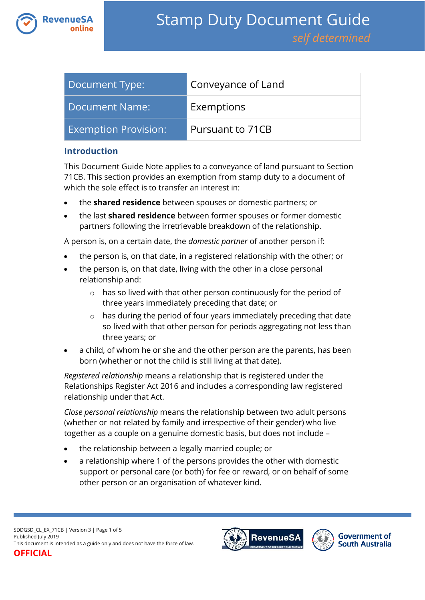

| Document Type:              | Conveyance of Land |
|-----------------------------|--------------------|
| Document Name:              | Exemptions         |
| <b>Exemption Provision:</b> | Pursuant to 71CB   |

#### **Introduction**

This Document Guide Note applies to a conveyance of land pursuant to Section 71CB. This section provides an exemption from stamp duty to a document of which the sole effect is to transfer an interest in:

- the **shared residence** between spouses or domestic partners; or
- the last **shared residence** between former spouses or former domestic partners following the irretrievable breakdown of the relationship.

A person is, on a certain date, the *domestic partner* of another person if:

- the person is, on that date, in a registered relationship with the other; or
- the person is, on that date, living with the other in a close personal relationship and:
	- o has so lived with that other person continuously for the period of three years immediately preceding that date; or
	- o has during the period of four years immediately preceding that date so lived with that other person for periods aggregating not less than three years; or
- a child, of whom he or she and the other person are the parents, has been born (whether or not the child is still living at that date).

*Registered relationship* means a relationship that is registered under the Relationships Register Act 2016 and includes a corresponding law registered relationship under that Act.

*Close personal relationship* means the relationship between two adult persons (whether or not related by family and irrespective of their gender) who live together as a couple on a genuine domestic basis, but does not include –

- the relationship between a legally married couple; or
- a relationship where 1 of the persons provides the other with domestic support or personal care (or both) for fee or reward, or on behalf of some other person or an organisation of whatever kind.



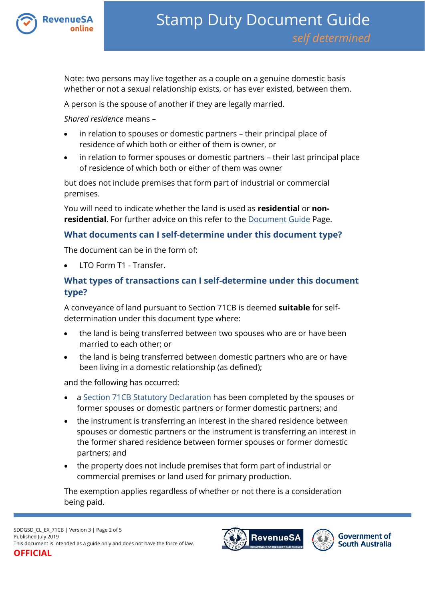

Note: two persons may live together as a couple on a genuine domestic basis whether or not a sexual relationship exists, or has ever existed, between them.

A person is the spouse of another if they are legally married.

*Shared residence* means –

- in relation to spouses or domestic partners their principal place of residence of which both or either of them is owner, or
- in relation to former spouses or domestic partners their last principal place of residence of which both or either of them was owner

but does not include premises that form part of industrial or commercial premises.

You will need to indicate whether the land is used as **residential** or **nonresidential**. For further advice on this refer to the [Document Guide](https://www.revenuesa.sa.gov.au/stampduty/stamp-duty-document-guide#Glossary) Page.

## **What documents can I self-determine under this document type?**

The document can be in the form of:

LTO Form T1 - Transfer.

# **What types of transactions can I self-determine under this document type?**

A conveyance of land pursuant to Section 71CB is deemed **suitable** for selfdetermination under this document type where:

- the land is being transferred between two spouses who are or have been married to each other; or
- the land is being transferred between domestic partners who are or have been living in a domestic relationship (as defined);

and the following has occurred:

- a [Section 71CB Statutory Declaration](https://www.revenuesa.sa.gov.au/forms-and-publications/documents/forms/SD_S71CBstatdec.pdf) has been completed by the spouses or former spouses or domestic partners or former domestic partners; and
- the instrument is transferring an interest in the shared residence between spouses or domestic partners or the instrument is transferring an interest in the former shared residence between former spouses or former domestic partners; and
- the property does not include premises that form part of industrial or commercial premises or land used for primary production.

The exemption applies regardless of whether or not there is a consideration being paid.

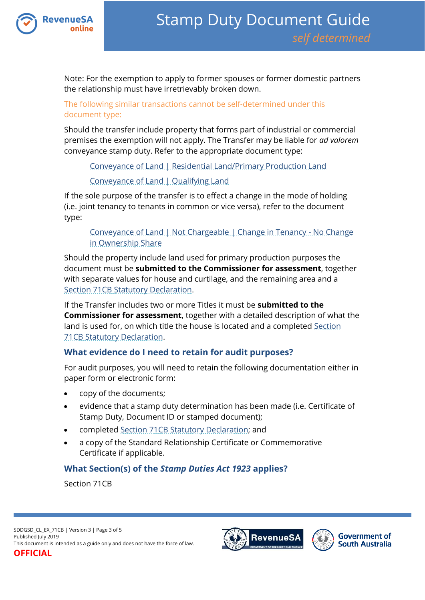

Note: For the exemption to apply to former spouses or former domestic partners the relationship must have irretrievably broken down.

The following similar transactions cannot be self-determined under this document type:

Should the transfer include property that forms part of industrial or commercial premises the exemption will not apply. The Transfer may be liable for *ad valorem*  conveyance stamp duty. Refer to the appropriate document type:

[Conveyance of Land | Residential Land/Primary Production Land](https://www.revenuesa.sa.gov.au/stampduty/stamp-duty-document-guide/self-determined/conveyance-of-land/sddgsd_cl_rpp)

[Conveyance of Land | Qualifying Land](https://www.revenuesa.sa.gov.au/stampduty/stamp-duty-document-guide/self-determined/conveyance-of-land/sddgsd_cl_ql)

If the sole purpose of the transfer is to effect a change in the mode of holding (i.e. joint tenancy to tenants in common or vice versa), refer to the document type:

## [Conveyance of Land | Not Chargeable | Change in Tenancy -](https://www.revenuesa.sa.gov.au/stampduty/stamp-duty-document-guide/self-determined/conveyance-of-land-not-chargeable/sddgsd_cl_nc_cint) No Change [in Ownership Share](https://www.revenuesa.sa.gov.au/stampduty/stamp-duty-document-guide/self-determined/conveyance-of-land-not-chargeable/sddgsd_cl_nc_cint)

Should the property include land used for primary production purposes the document must be **submitted to the Commissioner for assessment**, together with separate values for house and curtilage, and the remaining area and a [Section 71CB Statutory Declaration.](https://www.revenuesa.sa.gov.au/forms-and-publications/documents/forms/SD_S71CBstatdec.pdf)

If the Transfer includes two or more Titles it must be **submitted to the Commissioner for assessment**, together with a detailed description of what the land is used for, on which title the house is located and a completed Section [71CB Statutory Declaration.](https://www.revenuesa.sa.gov.au/forms-and-publications/documents/forms/SD_S71CBstatdec.pdf)

# **What evidence do I need to retain for audit purposes?**

For audit purposes, you will need to retain the following documentation either in paper form or electronic form:

- copy of the documents;
- evidence that a stamp duty determination has been made (i.e. Certificate of Stamp Duty, Document ID or stamped document);
- complete[d Section 71CB Statutory Declaration;](https://www.revenuesa.sa.gov.au/forms-and-publications/documents/forms/SD_S71CBstatdec.pdf) and
- a copy of the Standard Relationship Certificate or Commemorative Certificate if applicable.

# **What Section(s) of the** *Stamp Duties Act 1923* **applies?**

Section 71CB



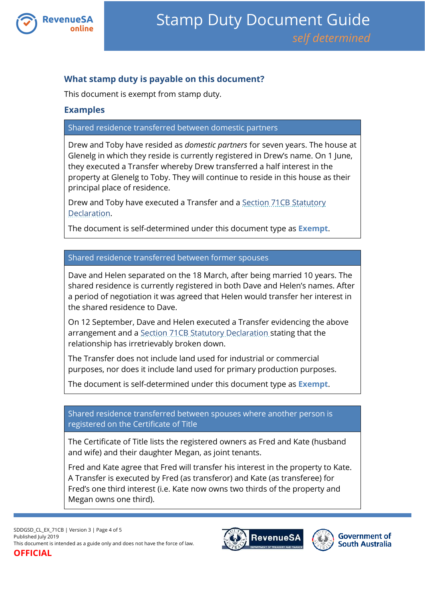

## **What stamp duty is payable on this document?**

This document is exempt from stamp duty.

### **Examples**

#### Shared residence transferred between domestic partners

Drew and Toby have resided as *domestic partners* for seven years. The house at Glenelg in which they reside is currently registered in Drew's name. On 1 June, they executed a Transfer whereby Drew transferred a half interest in the property at Glenelg to Toby. They will continue to reside in this house as their principal place of residence.

Drew and Toby have executed a Transfer and a [Section 71CB Statutory](https://www.revenuesa.sa.gov.au/forms-and-publications/documents/forms/SD_S71CBstatdec.pdf)  [Declaration.](https://www.revenuesa.sa.gov.au/forms-and-publications/documents/forms/SD_S71CBstatdec.pdf)

The document is self-determined under this document type as **Exempt**.

#### Shared residence transferred between former spouses

Dave and Helen separated on the 18 March, after being married 10 years. The shared residence is currently registered in both Dave and Helen's names. After a period of negotiation it was agreed that Helen would transfer her interest in the shared residence to Dave.

On 12 September, Dave and Helen executed a Transfer evidencing the above arrangement and a [Section 71CB Statutory Declaration](https://www.revenuesa.sa.gov.au/forms-and-publications/documents/forms/SD_S71CBstatdec.pdf) stating that the relationship has irretrievably broken down.

The Transfer does not include land used for industrial or commercial purposes, nor does it include land used for primary production purposes.

The document is self-determined under this document type as **Exempt**.

Shared residence transferred between spouses where another person is registered on the Certificate of Title

The Certificate of Title lists the registered owners as Fred and Kate (husband and wife) and their daughter Megan, as joint tenants.

Fred and Kate agree that Fred will transfer his interest in the property to Kate. A Transfer is executed by Fred (as transferor) and Kate (as transferee) for Fred's one third interest (i.e. Kate now owns two thirds of the property and Megan owns one third).